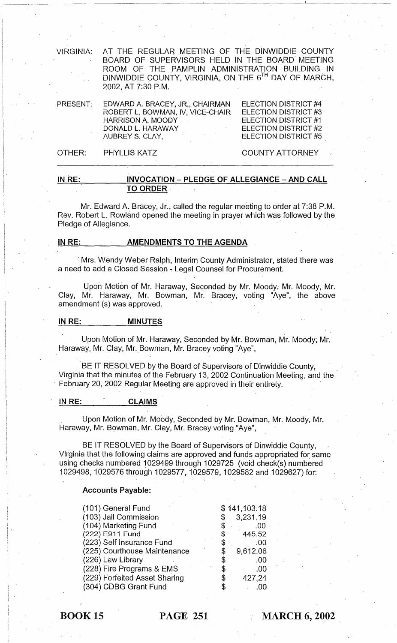VIRGINIA: AT THE REGULAR MEETING OF THE DINWIDDIE COUNTY BOARD OF SUPERVISORS HELD IN THE BOARD MEETING ROOM OF THE PAMPLIN ADMINISTRATION BUILDING IN DINWIDDIE COUNTY, VIRGINIA, ON THE  $6^{TH}$  DAY OF MARCH, 2002, AT 7:30 P.M.

| PRESENT: | EDWARD A. BRACEY, JR., CHAIRMAN<br>ROBERT L. BOWMAN, IV, VICE-CHAIR<br>HARRISON A. MOODY<br>DONALD L. HARAWAY | ELECTION DISTRICT #4<br>ELECTION DISTRICT #3<br>ELECTION DISTRICT #1<br>ELECTION DISTRICT #2 |
|----------|---------------------------------------------------------------------------------------------------------------|----------------------------------------------------------------------------------------------|
|          | AUBREY S. CLAY,                                                                                               | ELECTION DISTRICT #5                                                                         |

OTHER: PHYLLIS KATZ COUNTY ATTORNEY

# IN RE: INVOCATION - PLEDGE OF ALLEGIANCE - AND CALL TO ORDER·

Mr. Edward A. Bracey, Jr., called the regular meeting to order at 7:38 P.M. Rev. Robert L. Rowland opened the meeting in prayer which was followed by the Pledge of Allegiance.

### IN RE: **AMENDMENTS TO THE AGENDA**

Mrs. Wendy Weber Ralph, Interim County Administrator, stated there was a need to add a Closed Session - Legal Counsel for Procurement.

Upon Motion of Mr. Haraway, Seconded by Mr. Moody; Mr. Moody, Mr.. Clay, Mr. Haraway, Mr. Bowman, Mr. Bracey, voting "Aye", the above amendment (s) was approved. .

### IN RE: MINUTES

Upon Motion of Mr. Haraway, Seconded by Mr. Bowman, Mr. Moody; Mr. Haraway, Mr. Clay, Mr. Bowman, Mr. Bracey voting "Aye",

BE IT RESOLVED by the Board of Supervisors of Dinwiddie County, Virginia that the minutes of the February 13, 2002 Continuation Meeting, and the . February 20, 2002 Regular Meeting are approved in their entirety.

### INRE: CLAIMS

Upon Motion of Mr. Moody, Seconded by Mr. Bowman, Mr. Moody, Mr. Haraway, Mr. Bowman, Mr. Clay, Mr. Bracey voting "Aye",

BE IT RESOLVED by the Board of Supervisors of Dinwiddie County, Virginia that the following claims are approved and funds appropriated for same using checks numbered 1029499 through 1029725 (void check(s) numbered 1029498, 1029576 through 1029577, 1029579, 1029582 and 1029627) for:

### Accounts Payable:

| (101) General Fund            |    | \$141,103.18 |
|-------------------------------|----|--------------|
| (103) Jail Commission         |    | 3,231.19     |
| (104) Marketing Fund          | \$ | .00          |
| (222) E911 Fund               | \$ | 445.52       |
| (223) Self Insurance Fund     | \$ | .00          |
| (225) Courthouse Maintenance  | \$ | 9,612.06     |
| (226) Law Library             | S  | .00          |
| (228) Fire Programs & EMS     | \$ | .00          |
| (229) Forfeited Asset Sharing | \$ | 427.24       |
| (304) CDBG Grant Fund         | S  | .00          |

MARCH 6, 2002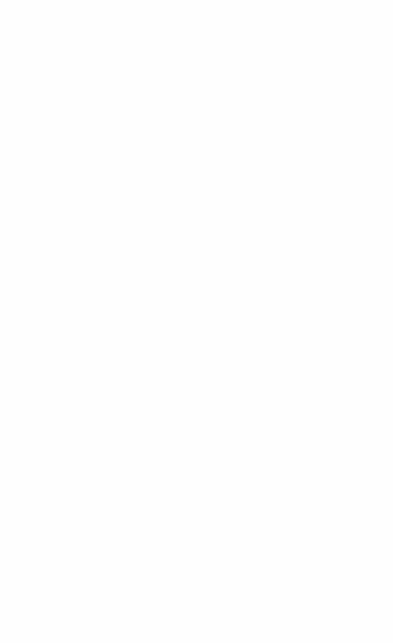$\label{eq:2.1} \frac{1}{\sqrt{2}}\sum_{i=1}^n\frac{1}{\sqrt{2}}\sum_{i=1}^n\frac{1}{\sqrt{2}}\sum_{i=1}^n\frac{1}{\sqrt{2}}\sum_{i=1}^n\frac{1}{\sqrt{2}}\sum_{i=1}^n\frac{1}{\sqrt{2}}\sum_{i=1}^n\frac{1}{\sqrt{2}}\sum_{i=1}^n\frac{1}{\sqrt{2}}\sum_{i=1}^n\frac{1}{\sqrt{2}}\sum_{i=1}^n\frac{1}{\sqrt{2}}\sum_{i=1}^n\frac{1}{\sqrt{2}}\sum_{i=1}^n\frac$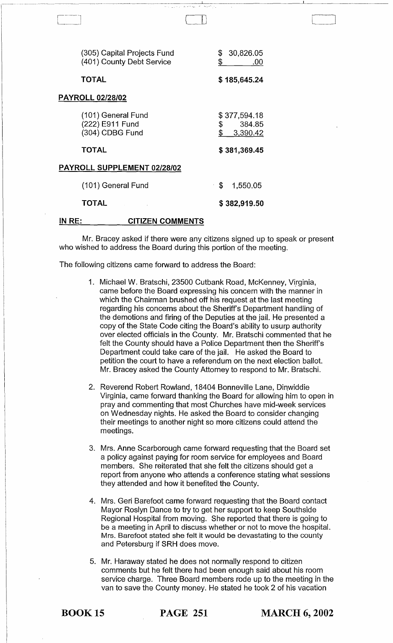|                         | (305) Capital Projects Fund<br>(401) County Debt Service | \$<br>\$      | 30,826.05<br>.00                   |
|-------------------------|----------------------------------------------------------|---------------|------------------------------------|
| <b>TOTAL</b>            |                                                          |               | \$185,645.24                       |
| <b>PAYROLL 02/28/02</b> |                                                          |               |                                    |
|                         | (101) General Fund<br>(222) E911 Fund<br>(304) CDBG Fund | \$<br>\$      | \$377,594.18<br>384.85<br>3,390.42 |
| <b>TOTAL</b>            |                                                          |               | \$381,369.45                       |
|                         | <b>PAYROLL SUPPLEMENT 02/28/02</b>                       |               |                                    |
|                         | (101) General Fund                                       | $\mathbf{\$}$ | 1,550.05                           |
| <b>TOTAL</b>            |                                                          |               | \$382,919.50                       |
| IN RE:                  | <b>CITIZEN COMMENTS</b>                                  |               |                                    |

~---~-~----~~-----.- --~-

# Mr. Bracey asked if there were any citizens signed up to speak or present who wished to address the Board during this portion of the meeting.

CD

The following citizens came forward to address the Board:

- 1. Michael W. Bratschi, 23500 Cutbank Road, McKenney, Virginia, came before the Board expressing his concern with the manner in which the Chairman brushed off his request at the last meeting regarding his concerns about the Sheriff's Department handling of the demotions and firing of the Deputies at the jail. He presented a copy of the State Code citing the Board's ability to usurp authority over elected officials in the County. Mr. Bratschi commented that he felt the County should have a Police Department then the Sheriff's Department could take care of the jail. He asked the Board to petition the court to have a referendum on the next election ballot. Mr. Bracey asked the County Attorney to respond to Mr. Bratschi.
- 2. Reverend Robert Rowland, 18404 Bonneville Lane, Dinwiddie Virginia, came forward thanking the Board for allowing him to open in pray and commenting that most Churches have mid-week services on Wednesday nights. He asked the Board to consider changing their meetings to another night so more citizens could attend the meetings.
- 3. Mrs. Anne Scarborough came forward requesting that the Board set a policy against paying for room service for employees and Board members. She reiterated that she felt the citizens should get a report from anyone Who attends a conference stating what sessions they attended and how it benefited the County.
- 4. Mrs. Geri Barefoot came forward requesting that the Board contact Mayor Roslyn Dance to try to get her support to keep Southside Regional Hospital from moving. She reported that there is going to be a meeting in April to discuss whether or not to move the hospital. Mrs. Barefoot stated she felt it would be devastating to the county and Petersburg if SRH does move.
- 5. Mr. Haraway stated he does not normally respond to citizen comments but he felt there had been enough said about his room service charge. Three Board members rode up to the meeting in the van to save the County money. He stated he took 2 of his vacation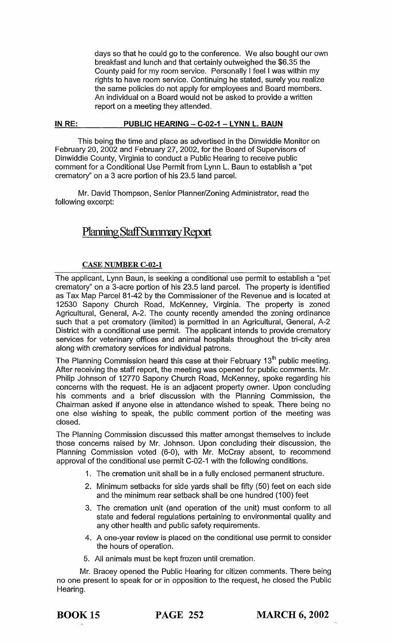days so that he could go to the conference. We also bought our own breakfast and lunch and that certainly outweighed the \$6.35 the County paid for my room service. Personally I feel I was within my rights to have room service. Continuing he stated, surely you realize the same policies do not apply for employees and Board members. An individual on a Board would not be asked to provide a written report on a meeting they attended.

### **IN RE: PUBLIC HEARING - C-02-1 - LYNN L. BAUN**

This being the time and place as advertised in the Dinwiddie Monitor on February 20,2002 and February 27,2002, for the Board of Supervisors of Dinwiddie County, Virginia to conduct a Public Hearing to receive public comment for a Conditional Use Permit from Lynn L. Baun to establish a "pet crematory" on a 3 acre portion of his 23.5 land parcel.

Mr. David Thompson, Senior Planner/Zoning Administrator, read the following excerpt:

# Planning Staff Summary Report

# CASE NUMBER C-02-1

The applicant, Lynn Baun, is seeking a conditional use permit to establish a "pet crematory" on a 3-acre portion of his 23.5 land parcel. The property is identified as Tax Map Parcel 81-42 by the Commissioner of the Revenue and is located at 12530 Sapony Church Road, McKenney, Virginia. The property is zoned Agricultural, General, A-2. The county recently amended the zoning ordinance such that a pet crematory (limited) is permitted in an Agricultural, General, A-2 District with a conditional use permit. The applicant intends to provide crematory services for veterinary offices and animal hospitals throughout the tri-city area along with crematory services for individual patrons.

The Planning Commission heard this case at their February 13<sup>th</sup> public meeting. After receiving the staff report, the meeting was opened for public comments. Mr. Philip Johnson of 12770 Sapony Church Road, McKenney, spoke regarding his concerns with the request. He is an adjacent property owner. Upon concluding his comments and a brief discussion with the Planning Commission, the Chairman asked if anyone else in attendance wished to speak. There being no one else wishing to speak, the public comment portion of the meeting was closed.

The Planning Commission discussed this matter amongst themselves to include those concerns raised by Mr. Johnson. Upon concluding their discussion, the Planning Commission voted (6-0), with Mr. McCray absent, to recommend approval of the conditional use permit C-02-1 with the following conditions.

- 1. The cremation unit shall be in a fully enclosed permanent structure.
- 2. Minimum setbacks for side yards shall be fifty (50) feet on each side and the minimum rear setback shall be one hundred (100) feet
- 3. The cremation unit (and operation of the unit) must conform to all state and federal regulations pertaining to environmental quality and any other health and public safety requirements.
- 4. A one-year review is placed on the conditional use permit to consider the hours of operation.
- 5. All animals must be kept frozen until cremation.

Mr. Bracey opened the Public Hearing for citizen comments. There being no one present to speak for or in opposition to the request, he closed the Public Hearing.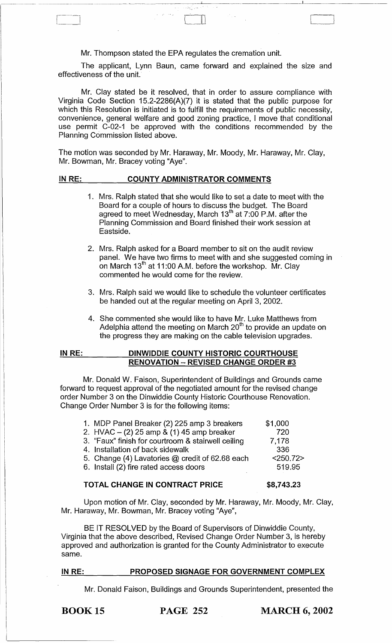Mr. Thompson stated the EPA regulates the cremation unit.

,~------- -- ---.. \_-\_. -\_.--'-'-------\_. ~~---~~---

The applicant, Lynn Baun, came forward and explained the size and effectiveness of the unit.

(' II \

Mr. Clay stated be it resolved, that in order to assure compliance with Virginia Code Section 15.2-2286(A)(7) it is stated that the public purpose for which this Resolution is initiated is to fulfill the requirements of public necessity, convenience, general welfare and good zoning practice, I move that conditional use permit C-02-1 be approved with the conditions recommended by the Planning Commission listed above.

The motion was seconded by Mr. Haraway, Mr. Moody, Mr. Haraway, Mr. Clay, Mr. Bowman, Mr. Bracey voting "Aye".

#### IN RE: COUNTY ADMINISTRATOR COMMENTS

- 1. Mrs. Ralph stated that she would like to set a date to meet with the Board for a couple of hours to discuss the budget. The Board agreed to meet Wednesday, March  $13<sup>th</sup>$  at 7:00 P.M. after the Planning Commission and Board finished their work session at Eastside.
- 2. Mrs. Ralph asked for a Board member to sit on the audit review panel. We have two firms to meet with and she suggested coming in on March  $13<sup>th</sup>$  at 11:00 A.M. before the workshop. Mr. Clay commented he would come for the review.
- 3. Mrs. Ralph said we would like to schedule the volunteer certificates be handed out at the regular meeting on April 3, 2002.
- 4. She commented she would like to have Mr. Luke Matthews from Adelphia attend the meeting on March  $20<sup>th</sup>$  to provide an update on the progress they are making on the cable television upgrades.

### IN RE: DINWIDDIE COUNTY HISTORIC COURTHOUSE RENOVATION - REVISED CHANGE ORDER #3

Mr. Donald W. Faison, Superintendent of Buildings and Grounds came forward to request approval of the negotiated amount for the revised change order Number 3 on the Dinwiddie County Historic Courthouse Renovation. Change Order Number 3 is for the following items:

| 1. MDP Panel Breaker (2) 225 amp 3 breakers        | \$1,000        |
|----------------------------------------------------|----------------|
| 2. HVAC – (2) 25 amp & (1) 45 amp breaker          | 720            |
| 3. "Faux" finish for courtroom & stairwell ceiling | 7,178          |
| 4. Installation of back sidewalk                   | 336            |
| 5. Change (4) Lavatories $@$ credit of 62.68 each  | $<$ 250.72 $>$ |
| 6. Install (2) fire rated access doors             | 519.95         |
|                                                    |                |

### TOTAL CHANGE IN CONTRACT PRICE \$8,743.23

Upon motion of Mr. Clay, seconded by Mr. Haraway, Mr. Moody, Mr. Clay, Mr. Haraway, Mr. Bowman, Mr. Bracey voting "Aye",

BE IT RESOLVED by the Board of Supervisors of Dinwiddie County, Virginia that the above described, Revised Change Order Number 3, is hereby approved and authorization is granted for the County Administrator to execute same.

### IN RE: PROPOSED SIGNAGE FOR GOVERNMENT COMPLEX

Mr. Donald Faison, Buildings and Grounds Superintendent, presented the

BOOK 15 PAGE 252 MARCH 6, 2002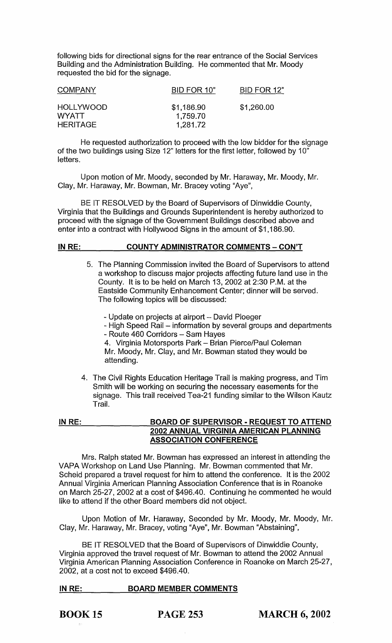following bids for directional signs for the rear entrance of the Social Services Building and the Administration Building. He commented that Mr. Moody requested the bid for the signage.

| <b>COMPANY</b>                   | BID FOR 10"            | BID FOR 12" |
|----------------------------------|------------------------|-------------|
| <b>HOLLYWOOD</b><br><b>WYATT</b> | \$1,186.90<br>1,759.70 | \$1,260.00  |
| <b>HERITAGE</b>                  | 1.281.72               |             |

He requested authorization to proceed with the low bidder for the signage of the two buildings using Size 12" letters for the first letter, followed by 10" letters.

Upon motion of Mr. Moody, seconded by Mr. Haraway, Mr. Moody, Mr. Clay, Mr. Haraway, Mr. Bowman, Mr. Bracey voting "Aye",

BE IT RESOLVED by the Board of Supervisors of Dinwiddie County, Virginia that the Buildings and Grounds Superintendent is hereby authorized to proceed with the signage of the "Government Buildings described above and enter into a contract with Hollywood Signs in the amount of \$1,186.90.

### IN RE: COUNTY ADMINISTRATOR COMMENTS - CON'T

- 5. The Planning Commission invited the Board of Supervisors to attend a workshop to discuss major projects affecting future land use in the County. It is to be held on March 13,2002 at 2:30 P.M. at the Eastside Community Enhancement Center; dinner will be served. The following topics will be discussed:
	- Update on projects at airport David Ploeger
	- High Speed Rail information by several groups and departments - Route 460 Corridors - Sam Hayes

4. Virginia Motorsports Park - Brian Pierce/Paul Coleman Mr. Moody, Mr. Clay, and Mr. Bowman stated they would be attending.

4. The Civil Rights Education Heritage Trail is making progress, and Tim Smith will be working on securing the necessary easements for the signage. This trail received Tea-21 funding similar to the Wilson Kautz Trail.

### IN RE: BOARD OF SUPERVISOR - REQUEST TO ATTEND 2002 ANNUAL VIRGINIA AMERICAN PLANNING ASSOCIATION CONFERENCE

Mrs. Ralph stated Mr. Bowman has expressed an interest in attending the VAPA Workshop on Land Use Planning. Mr. Bowman commented that Mr. Scheid prepared a travel request for him to attend the conference. It is the 2002 Annual Virginia American Planning Association Conference that is in Roanoke on March 25-27, 2002 at a cost of \$496.40. Continuing he commented he would like to attend if the other Board members did not object.

Upon Motion of Mr. Haraway, Seconded by Mr. Moody, Mr. Moody, Mr. Clay, Mr. Haraway, Mr. Bracey, voting "Aye", Mr. Bowman "Abstaining",

BE IT RESOLVED that the Board of Supervisors of Dinwiddie County, Virginia approved the travel request of Mr. Bowman to attend the 2002 Annual Virginia American Planning Association Conference in Roanoke on March 25-27, 2002, at a cost not to exceed \$496.40.

# IN RE: BOARD MEMBER COMMENTS

BOOK 15 PAGE 253 MARCH 6, 2002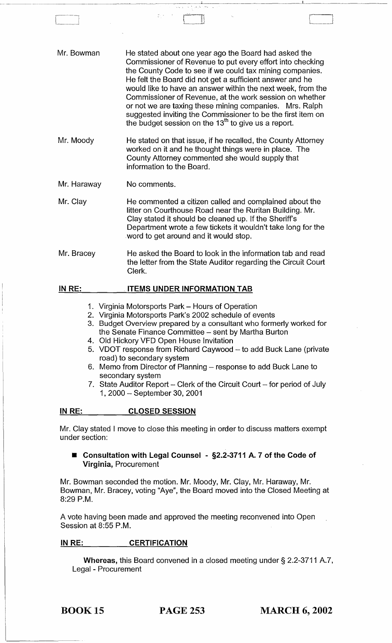| Mr. Bowman  | He stated about one year ago the Board had asked the<br>Commissioner of Revenue to put every effort into checking<br>the County Code to see if we could tax mining companies.<br>He felt the Board did not get a sufficient answer and he<br>would like to have an answer within the next week, from the<br>Commissioner of Revenue, at the work session on whether<br>or not we are taxing these mining companies. Mrs. Ralph<br>suggested inviting the Commissioner to be the first item on<br>the budget session on the $13th$ to give us a report. |
|-------------|--------------------------------------------------------------------------------------------------------------------------------------------------------------------------------------------------------------------------------------------------------------------------------------------------------------------------------------------------------------------------------------------------------------------------------------------------------------------------------------------------------------------------------------------------------|
| Mr. Moody   | He stated on that issue, if he recalled, the County Attorney<br>worked on it and he thought things were in place. The<br>County Attorney commented she would supply that<br>information to the Board.                                                                                                                                                                                                                                                                                                                                                  |
| Mr. Haraway | No comments.                                                                                                                                                                                                                                                                                                                                                                                                                                                                                                                                           |
| Mr. Clay    | He commented a citizen called and complained about the<br>litter on Courthouse Road near the Ruritan Building. Mr.<br>Clay stated it should be cleaned up. If the Sheriff's<br>Department wrote a few tickets it wouldn't take long for the<br>word to get around and it would stop.                                                                                                                                                                                                                                                                   |
| Mr. Bracey  | He asked the Board to look in the information tab and read<br>the letter from the State Auditor regarding the Circuit Court<br>Clerk.                                                                                                                                                                                                                                                                                                                                                                                                                  |
| IN RE:      | <b>ITEMS UNDER INFORMATION TAB</b>                                                                                                                                                                                                                                                                                                                                                                                                                                                                                                                     |

- 1. Virginia Motorsports Park Hours of Operation
- 2. Virginia Motorsports Park's 2002 schedule of events
- 3. Budget Overview prepared by a consultant who formerly worked for the Senate Finance Committee - sent by Martha Burton
- 4. Old Hickory VFD Open House Invitation
- 5. VDOT response from Richard Caywood to add Buck Lane (private road) to secondary system
- 6. Memo from Director of Planning response to add Buck Lane to secondary system
- 7. State Auditor Report Clerk of the Circuit Court for period of July 1,2000 - September 30,2001

### IN RE: CLOSED SESSION

Mr. Clay stated I move to close this meeting in order to discuss matters exempt under section:

■ Consultation with Legal Counsel - §2.2-3711 A. 7 of the Code of Virginia, Procurement

Mr. Bowman seconded the motion. Mr. Moody, Mr. Clay, Mr. Haraway, Mr. Bowman, Mr. Bracey, voting "Aye", the Board moved into the Closed Meeting at 8:29 P.M.

A vote having been made and approved the meeting reconvened into Open Session at 8:55 P.M.

### IN RE: CERTIFICATION

Whereas, this Board convened in a closed meeting under § 2.2-3711 A.7, Legal - Procurement